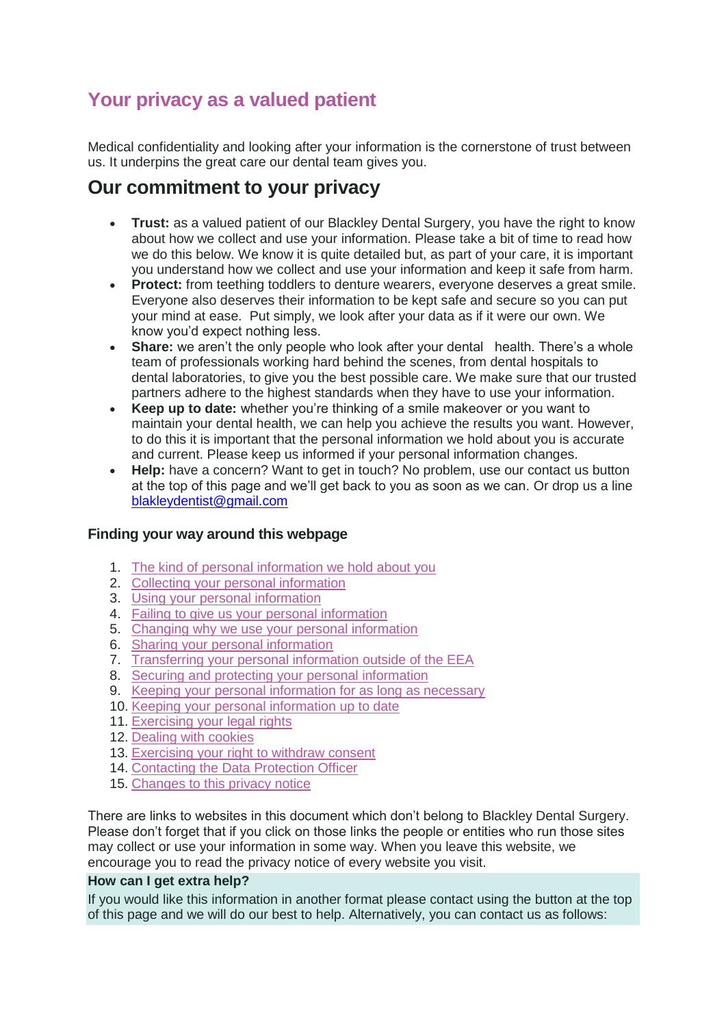### **Your privacy as a valued patient**

Medical confidentiality and looking after your information is the cornerstone of trust between us. It underpins the great care our dental team gives you.

### **Our commitment to your privacy**

- **Trust:** as a valued patient of our Blackley Dental Surgery, you have the right to know about how we collect and use your information. Please take a bit of time to read how we do this below. We know it is quite detailed but, as part of your care, it is important you understand how we collect and use your information and keep it safe from harm.
- **Protect:** from teething toddlers to denture wearers, everyone deserves a great smile. Everyone also deserves their information to be kept safe and secure so you can put your mind at ease. Put simply, we look after your data as if it were our own. We know you'd expect nothing less.
- **Share:** we aren't the only people who look after your dental health. There's a whole team of professionals working hard behind the scenes, from dental hospitals to dental laboratories, to give you the best possible care. We make sure that our trusted partners adhere to the highest standards when they have to use your information.
- **Keep up to date:** whether you're thinking of a smile makeover or you want to maintain your dental health, we can help you achieve the results you want. However, to do this it is important that the personal information we hold about you is accurate and current. Please keep us informed if your personal information changes.
- **Help:** have a concern? Want to get in touch? No problem, use our contact us button at the top of this page and we'll get back to you as soon as we can. Or drop us a line [blakleydentist@gmail.com](mailto:blakleydentist@gmail.com)

### **Finding your way around this webpage**

- 1. [The kind of personal information we hold about you](https://www.mydentist.co.uk/customer-services/patient-privacy#personal-information)
- 2. [Collecting your personal information](https://www.mydentist.co.uk/customer-services/patient-privacy#collecting-information)
- 3. [Using your personal information](https://www.mydentist.co.uk/customer-services/patient-privacy#using-information)
- 4. [Failing to give us your personal information](https://www.mydentist.co.uk/customer-services/patient-privacy#failing-to-give-information)
- 5. [Changing why we use your personal information](https://www.mydentist.co.uk/customer-services/patient-privacy#use-information)
- 6. [Sharing your personal information](https://www.mydentist.co.uk/customer-services/patient-privacy#sharing-information)
- 7. [Transferring your personal information outside of the EEA](https://www.mydentist.co.uk/customer-services/patient-privacy#transfering-information)
- 8. [Securing and protecting your personal information](https://www.mydentist.co.uk/customer-services/patient-privacy#protecting-information)
- 9. [Keeping your personal information for as long as necessary](https://www.mydentist.co.uk/customer-services/patient-privacy#keeping-information)
- 10. [Keeping your personal information up to date](https://www.mydentist.co.uk/customer-services/patient-privacy#keeping-information-up-to-date)
- 11. [Exercising your legal rights](https://www.mydentist.co.uk/customer-services/patient-privacy#legal-rights)
- 12. [Dealing with cookies](https://www.mydentist.co.uk/customer-services/patient-privacy#cookies)
- 13. [Exercising your right to withdraw consent](https://www.mydentist.co.uk/customer-services/patient-privacy#withdraw-consent)
- 14. [Contacting the Data Protection Officer](https://www.mydentist.co.uk/customer-services/patient-privacy#contacting-officer)
- 15. [Changes to this privacy notice](https://www.mydentist.co.uk/customer-services/patient-privacy#changes-to-notice)

There are links to websites in this document which don't belong to Blackley Dental Surgery. Please don't forget that if you click on those links the people or entities who run those sites may collect or use your information in some way. When you leave this website, we encourage you to read the privacy notice of every website you visit.

### **How can I get extra help?**

If you would like this information in another format please contact using the button at the top of this page and we will do our best to help. Alternatively, you can contact us as follows: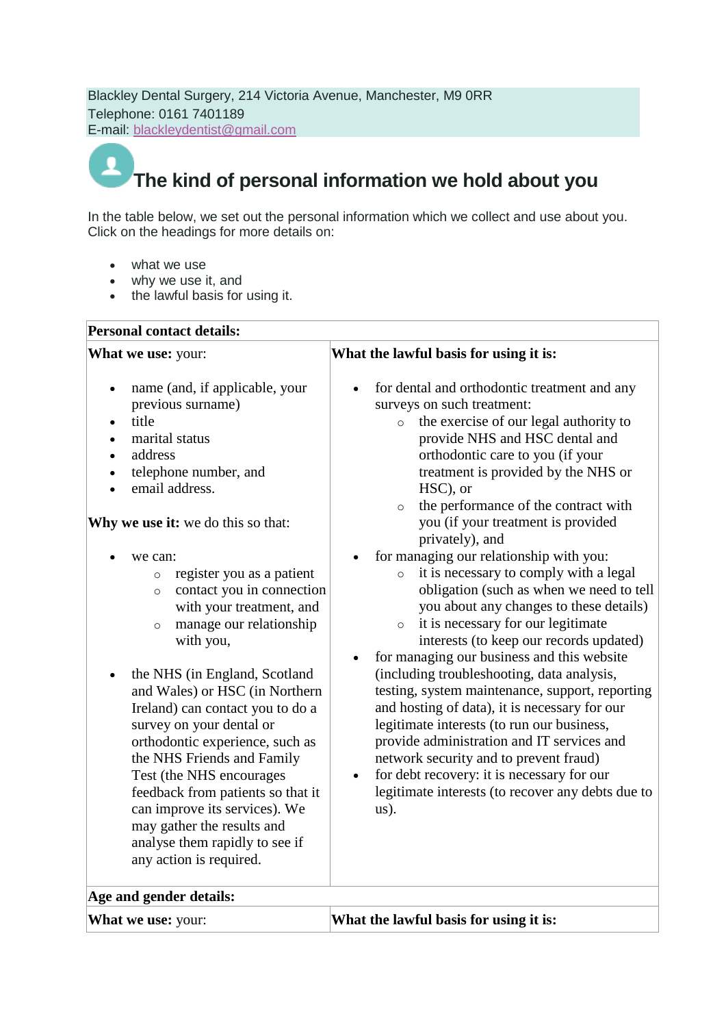Blackley Dental Surgery, 214 Victoria Avenue, Manchester, M9 0RR Telephone: 0161 7401189 E-mail: blackleydentist@gmail.com

### **The kind of personal information we hold about you**

In the table below, we set out the personal information which we collect and use about you. Click on the headings for more details on:

- what we use
- why we use it, and
- the lawful basis for using it.

### **Personal contact details:**

**What we use:** your:

- name (and, if applicable, your previous surname)
- title
- marital status
- address
- telephone number, and
- email address.

**Why we use it:** we do this so that:

- we can:
	- o register you as a patient
	- o contact you in connection with your treatment, and
	- o manage our relationship with you,
- the NHS (in England, Scotland and Wales) or HSC (in Northern Ireland) can contact you to do a survey on your dental or orthodontic experience, such as the NHS Friends and Family Test (the NHS encourages feedback from patients so that it can improve its services). We may gather the results and analyse them rapidly to see if any action is required.

### **What the lawful basis for using it is:**

- for dental and orthodontic treatment and any surveys on such treatment:
	- o the exercise of our legal authority to provide NHS and HSC dental and orthodontic care to you (if your treatment is provided by the NHS or HSC), or
	- o the performance of the contract with you (if your treatment is provided privately), and
- for managing our relationship with you:
	- o it is necessary to comply with a legal obligation (such as when we need to tell you about any changes to these details)
	- o it is necessary for our legitimate interests (to keep our records updated)
- for managing our business and this website (including troubleshooting, data analysis, testing, system maintenance, support, reporting and hosting of data), it is necessary for our legitimate interests (to run our business, provide administration and IT services and network security and to prevent fraud)
- for debt recovery: it is necessary for our legitimate interests (to recover any debts due to us).

| Age and gender details:   |                                        |
|---------------------------|----------------------------------------|
| <b>What we use:</b> your: | What the lawful basis for using it is: |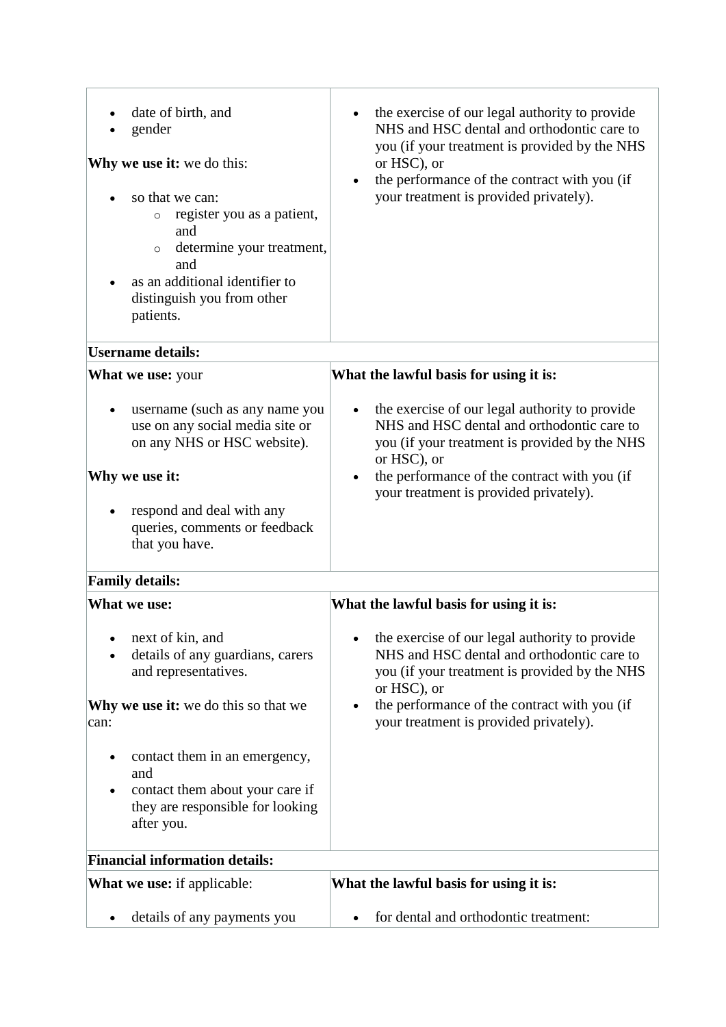| date of birth, and<br>gender<br>Why we use it: we do this:<br>so that we can:<br>register you as a patient,<br>$\circ$<br>and<br>determine your treatment,<br>$\circ$<br>and<br>as an additional identifier to<br>distinguish you from other<br>patients. | the exercise of our legal authority to provide<br>NHS and HSC dental and orthodontic care to<br>you (if your treatment is provided by the NHS<br>or HSC), or<br>the performance of the contract with you (if<br>your treatment is provided privately). |
|-----------------------------------------------------------------------------------------------------------------------------------------------------------------------------------------------------------------------------------------------------------|--------------------------------------------------------------------------------------------------------------------------------------------------------------------------------------------------------------------------------------------------------|
| <b>Username details:</b>                                                                                                                                                                                                                                  |                                                                                                                                                                                                                                                        |
| What we use: your                                                                                                                                                                                                                                         | What the lawful basis for using it is:                                                                                                                                                                                                                 |
| username (such as any name you<br>use on any social media site or<br>on any NHS or HSC website).<br>Why we use it:<br>respond and deal with any<br>queries, comments or feedback<br>that you have.                                                        | the exercise of our legal authority to provide<br>NHS and HSC dental and orthodontic care to<br>you (if your treatment is provided by the NHS<br>or HSC), or<br>the performance of the contract with you (if<br>your treatment is provided privately). |
| <b>Family details:</b>                                                                                                                                                                                                                                    |                                                                                                                                                                                                                                                        |
| What we use:                                                                                                                                                                                                                                              | What the lawful basis for using it is:                                                                                                                                                                                                                 |
| next of kin, and<br>details of any guardians, carers<br>and representatives.<br><b>Why we use it:</b> we do this so that we<br>can:                                                                                                                       | the exercise of our legal authority to provide<br>NHS and HSC dental and orthodontic care to<br>you (if your treatment is provided by the NHS<br>or HSC), or<br>the performance of the contract with you (if<br>your treatment is provided privately). |
| contact them in an emergency,<br>and<br>contact them about your care if<br>they are responsible for looking<br>after you.                                                                                                                                 |                                                                                                                                                                                                                                                        |
| <b>Financial information details:</b>                                                                                                                                                                                                                     |                                                                                                                                                                                                                                                        |
| <b>What we use:</b> if applicable:                                                                                                                                                                                                                        | What the lawful basis for using it is:                                                                                                                                                                                                                 |
| details of any payments you                                                                                                                                                                                                                               | for dental and orthodontic treatment:                                                                                                                                                                                                                  |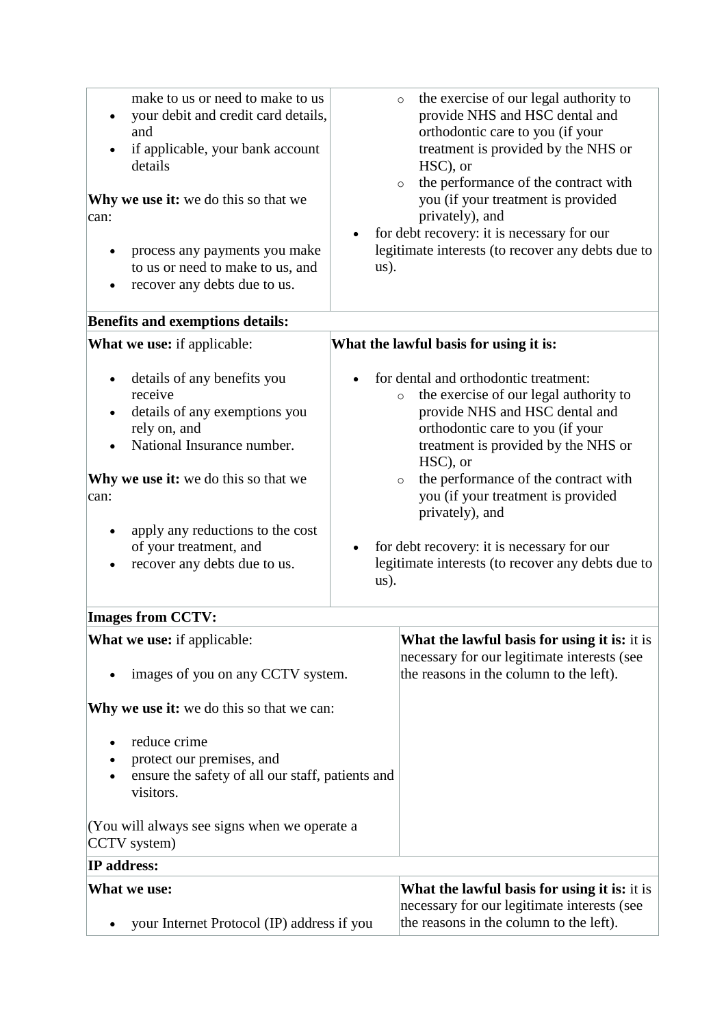| make to us or need to make to us<br>your debit and credit card details,<br>and<br>if applicable, your bank account<br>details<br><b>Why we use it:</b> we do this so that we<br>process any payments you make<br>to us or need to make to us, and<br>recover any debts due to us. | $\bullet$ | the exercise of our legal authority to<br>$\circ$<br>provide NHS and HSC dental and<br>orthodontic care to you (if your<br>treatment is provided by the NHS or<br>HSC), or<br>the performance of the contract with<br>$\circ$<br>you (if your treatment is provided<br>privately), and<br>for debt recovery: it is necessary for our<br>legitimate interests (to recover any debts due to                                          |
|-----------------------------------------------------------------------------------------------------------------------------------------------------------------------------------------------------------------------------------------------------------------------------------|-----------|------------------------------------------------------------------------------------------------------------------------------------------------------------------------------------------------------------------------------------------------------------------------------------------------------------------------------------------------------------------------------------------------------------------------------------|
| <b>Benefits and exemptions details:</b>                                                                                                                                                                                                                                           |           |                                                                                                                                                                                                                                                                                                                                                                                                                                    |
| What we use: if applicable:                                                                                                                                                                                                                                                       |           | What the lawful basis for using it is:                                                                                                                                                                                                                                                                                                                                                                                             |
| details of any benefits you<br>receive<br>details of any exemptions you<br>rely on, and<br>National Insurance number.<br><b>Why we use it:</b> we do this so that we<br>apply any reductions to the cost<br>of your treatment, and<br>recover any debts due to us.                |           | for dental and orthodontic treatment:<br>the exercise of our legal authority to<br>$\circ$<br>provide NHS and HSC dental and<br>orthodontic care to you (if your<br>treatment is provided by the NHS or<br>HSC), or<br>the performance of the contract with<br>$\circ$<br>you (if your treatment is provided<br>privately), and<br>for debt recovery: it is necessary for our<br>legitimate interests (to recover any debts due to |
| <b>Images from CCTV:</b>                                                                                                                                                                                                                                                          |           |                                                                                                                                                                                                                                                                                                                                                                                                                                    |
| <b>What we use:</b> if applicable:                                                                                                                                                                                                                                                |           | <b>What the lawful basis for using it is:</b> it is<br>necessary for our legitimate interests (see<br>the reasons in the column to the left).                                                                                                                                                                                                                                                                                      |
|                                                                                                                                                                                                                                                                                   |           | $\alpha(s)$ .<br>$\alpha(s)$ .<br>images of you on any CCTV system.<br>Why we use it: we do this so that we can:                                                                                                                                                                                                                                                                                                                   |

- reduce crime
- protect our premises, and
- ensure the safety of all our staff, patients and visitors.

(You will always see signs when we operate a CCTV system)

| <b>IP</b> address:                         |                                                     |
|--------------------------------------------|-----------------------------------------------------|
| What we use:                               | <b>What the lawful basis for using it is:</b> it is |
|                                            | necessary for our legitimate interests (see         |
| your Internet Protocol (IP) address if you | the reasons in the column to the left).             |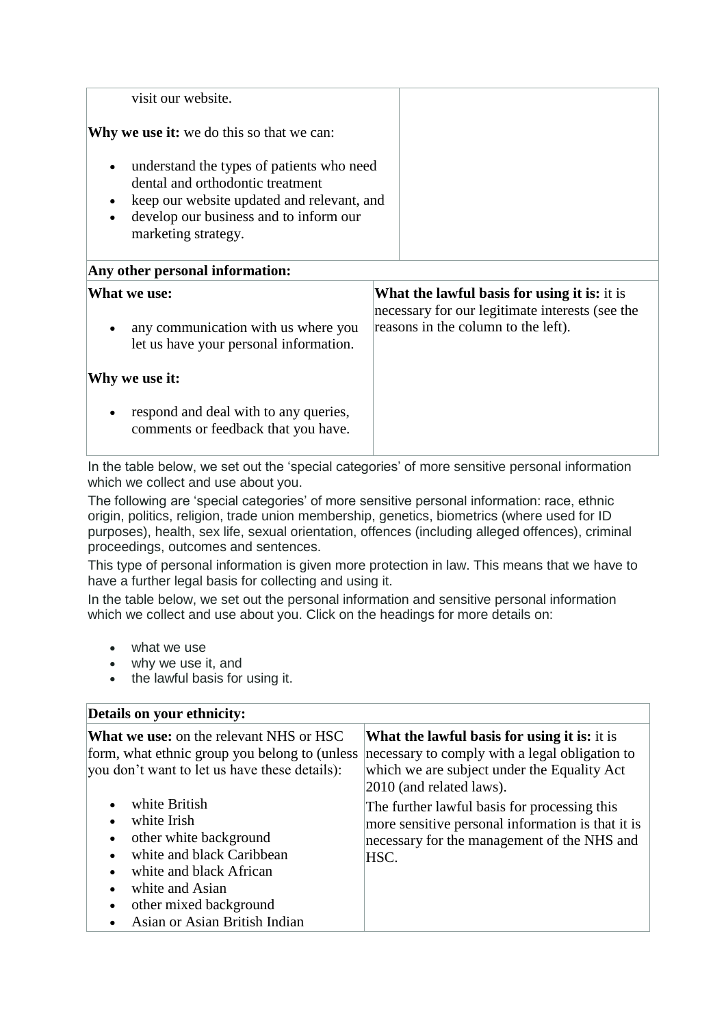| visit our website.                                                                                                                                                                           |                                                                                                        |
|----------------------------------------------------------------------------------------------------------------------------------------------------------------------------------------------|--------------------------------------------------------------------------------------------------------|
| <b>Why we use it:</b> we do this so that we can:                                                                                                                                             |                                                                                                        |
| understand the types of patients who need<br>dental and orthodontic treatment<br>keep our website updated and relevant, and<br>develop our business and to inform our<br>marketing strategy. |                                                                                                        |
| Any other personal information:                                                                                                                                                              |                                                                                                        |
| What we use:                                                                                                                                                                                 | <b>What the lawful basis for using it is:</b> it is<br>necessary for our legitimate interests (see the |
| any communication with us where you<br>let us have your personal information.                                                                                                                | reasons in the column to the left).                                                                    |
| Why we use it:                                                                                                                                                                               |                                                                                                        |
| respond and deal with to any queries,<br>comments or feedback that you have.                                                                                                                 |                                                                                                        |

In the table below, we set out the 'special categories' of more sensitive personal information which we collect and use about you.

The following are 'special categories' of more sensitive personal information: race, ethnic origin, politics, religion, trade union membership, genetics, biometrics (where used for ID purposes), health, sex life, sexual orientation, offences (including alleged offences), criminal proceedings, outcomes and sentences.

This type of personal information is given more protection in law. This means that we have to have a further legal basis for collecting and using it.

In the table below, we set out the personal information and sensitive personal information which we collect and use about you. Click on the headings for more details on:

- what we use
- why we use it, and
- the lawful basis for using it.

| Details on your ethnicity:                                                                                                                                                                                                                                                                                                                                                                                        |                                                                                                                                                                                                                                                                                                                                              |  |
|-------------------------------------------------------------------------------------------------------------------------------------------------------------------------------------------------------------------------------------------------------------------------------------------------------------------------------------------------------------------------------------------------------------------|----------------------------------------------------------------------------------------------------------------------------------------------------------------------------------------------------------------------------------------------------------------------------------------------------------------------------------------------|--|
| <b>What we use:</b> on the relevant NHS or HSC<br>form, what ethnic group you belong to (unless<br>you don't want to let us have these details):<br>white British<br>white Irish<br>$\bullet$<br>other white background<br>$\bullet$<br>white and black Caribbean<br>white and black African<br>$\bullet$<br>white and Asian<br>other mixed background<br>$\bullet$<br>Asian or Asian British Indian<br>$\bullet$ | <b>What the lawful basis for using it is:</b> it is<br>necessary to comply with a legal obligation to<br>which we are subject under the Equality Act<br>2010 (and related laws).<br>The further lawful basis for processing this<br>more sensitive personal information is that it is<br>necessary for the management of the NHS and<br>HSC. |  |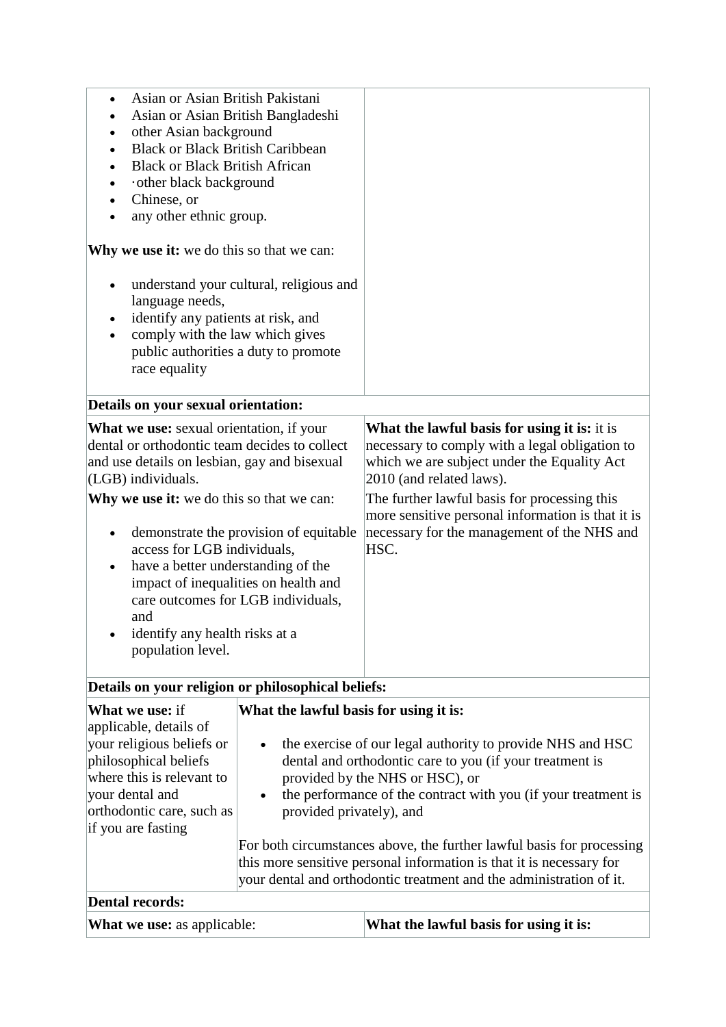| Asian or Asian British Pakistani<br>$\bullet$<br>Asian or Asian British Bangladeshi<br>$\bullet$<br>other Asian background<br><b>Black or Black British Caribbean</b><br><b>Black or Black British African</b><br>other black background<br>Chinese, or<br>any other ethnic group.                                                                                                                                                                                                                                                            |                                        |                                                                                                                                                                                                                                                                                                                                       |
|-----------------------------------------------------------------------------------------------------------------------------------------------------------------------------------------------------------------------------------------------------------------------------------------------------------------------------------------------------------------------------------------------------------------------------------------------------------------------------------------------------------------------------------------------|----------------------------------------|---------------------------------------------------------------------------------------------------------------------------------------------------------------------------------------------------------------------------------------------------------------------------------------------------------------------------------------|
| <b>Why we use it:</b> we do this so that we can:                                                                                                                                                                                                                                                                                                                                                                                                                                                                                              |                                        |                                                                                                                                                                                                                                                                                                                                       |
| understand your cultural, religious and<br>$\bullet$<br>language needs,<br>identify any patients at risk, and<br>comply with the law which gives<br>public authorities a duty to promote<br>race equality                                                                                                                                                                                                                                                                                                                                     |                                        |                                                                                                                                                                                                                                                                                                                                       |
| Details on your sexual orientation:                                                                                                                                                                                                                                                                                                                                                                                                                                                                                                           |                                        |                                                                                                                                                                                                                                                                                                                                       |
| What we use: sexual orientation, if your<br>dental or orthodontic team decides to collect<br>and use details on lesbian, gay and bisexual<br>(LGB) individuals.<br>Why we use it: we do this so that we can:<br>demonstrate the provision of equitable<br>$\bullet$<br>access for LGB individuals,<br>have a better understanding of the<br>$\bullet$<br>impact of inequalities on health and<br>care outcomes for LGB individuals,<br>and<br>identify any health risks at a<br>population level.                                             |                                        | What the lawful basis for using it is: it is<br>necessary to comply with a legal obligation to<br>which we are subject under the Equality Act<br>2010 (and related laws).<br>The further lawful basis for processing this<br>more sensitive personal information is that it is<br>necessary for the management of the NHS and<br>HSC. |
| Details on your religion or philosophical beliefs:                                                                                                                                                                                                                                                                                                                                                                                                                                                                                            |                                        |                                                                                                                                                                                                                                                                                                                                       |
| <b>What we use: if</b>                                                                                                                                                                                                                                                                                                                                                                                                                                                                                                                        | What the lawful basis for using it is: |                                                                                                                                                                                                                                                                                                                                       |
| applicable, details of<br>your religious beliefs or<br>the exercise of our legal authority to provide NHS and HSC<br>$\bullet$<br>philosophical beliefs<br>dental and orthodontic care to you (if your treatment is<br>where this is relevant to<br>provided by the NHS or HSC), or<br>your dental and<br>the performance of the contract with you (if your treatment is<br>$\bullet$<br>orthodontic care, such as<br>provided privately), and<br>if you are fasting<br>For both circumstances above, the further lawful basis for processing |                                        |                                                                                                                                                                                                                                                                                                                                       |

this more sensitive personal information is that it is necessary for your dental and orthodontic treatment and the administration of it. **Dental records:**

| <b>What we use: as applicable:</b> | What the lawful basis for using it is: |
|------------------------------------|----------------------------------------|
|------------------------------------|----------------------------------------|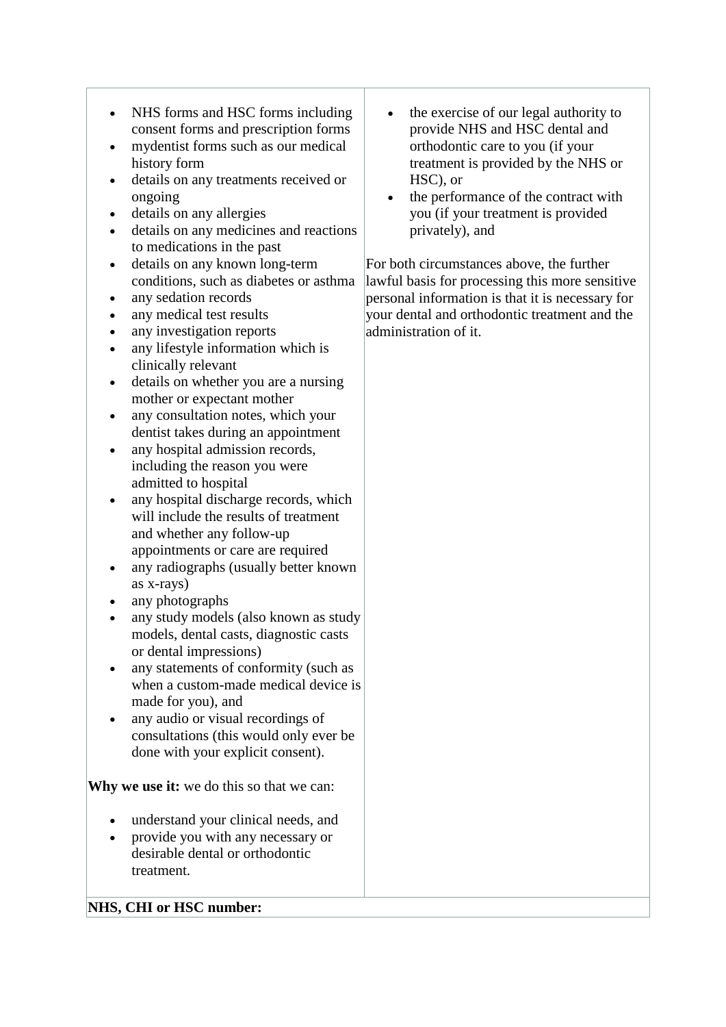- NHS forms and HSC forms including consent forms and prescription forms
- mydentist forms such as our medical history form
- details on any treatments received or ongoing
- details on any allergies
- details on any medicines and reactions to medications in the past
- details on any known long-term conditions, such as diabetes or asthma
- any sedation records
- any medical test results
- any investigation reports
- any lifestyle information which is clinically relevant
- details on whether you are a nursing mother or expectant mother
- any consultation notes, which your dentist takes during an appointment
- any hospital admission records. including the reason you were admitted to hospital
- any hospital discharge records, which will include the results of treatment and whether any follow-up appointments or care are required
- any radiographs (usually better known as x-rays)
- any photographs
- any study models (also known as study models, dental casts, diagnostic casts or dental impressions)
- any statements of conformity (such as when a custom-made medical device is made for you), and
- any audio or visual recordings of consultations (this would only ever be done with your explicit consent).

**Why we use it:** we do this so that we can:

- understand your clinical needs, and
- provide you with any necessary or desirable dental or orthodontic treatment.
- the exercise of our legal authority to provide NHS and HSC dental and orthodontic care to you (if your treatment is provided by the NHS or HSC), or
- the performance of the contract with you (if your treatment is provided privately), and

For both circumstances above, the further lawful basis for processing this more sensitive personal information is that it is necessary for your dental and orthodontic treatment and the administration of it.

### **NHS, CHI or HSC number:**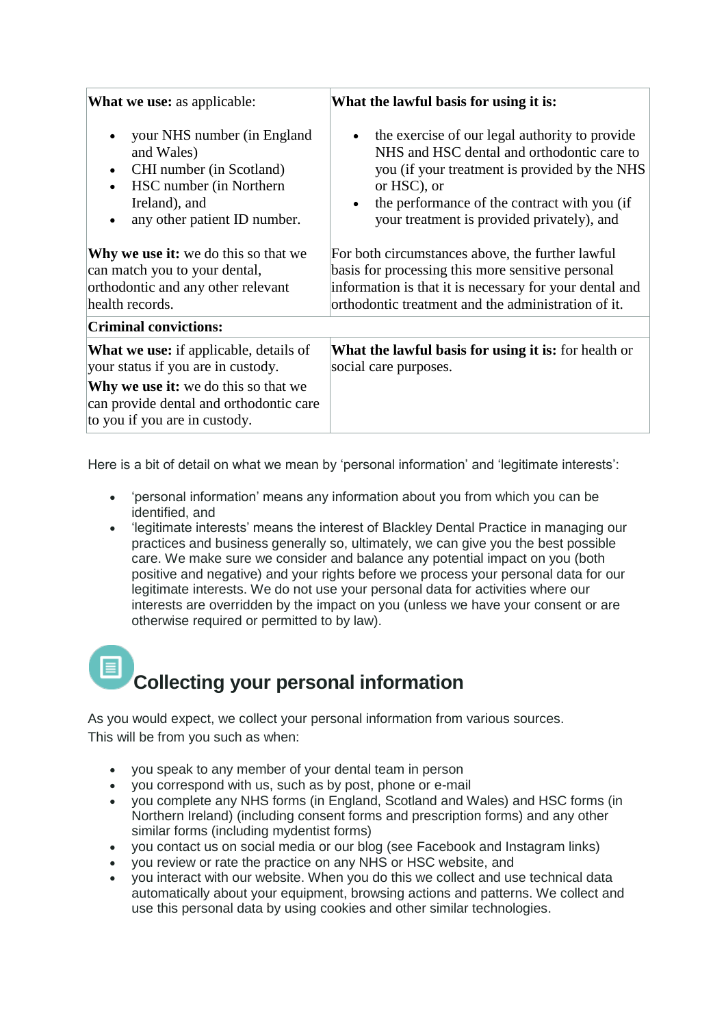| <b>What we use:</b> as applicable:                                                                                                                                                                                                                                                                                                              | What the lawful basis for using it is:                                                                                                                                                                                                                                                                                                                                                                                                                                                             |  |
|-------------------------------------------------------------------------------------------------------------------------------------------------------------------------------------------------------------------------------------------------------------------------------------------------------------------------------------------------|----------------------------------------------------------------------------------------------------------------------------------------------------------------------------------------------------------------------------------------------------------------------------------------------------------------------------------------------------------------------------------------------------------------------------------------------------------------------------------------------------|--|
| your NHS number (in England<br>$\bullet$<br>and Wales)<br>CHI number (in Scotland)<br>$\bullet$<br>HSC number (in Northern)<br>$\bullet$<br>Ireland), and<br>any other patient ID number.<br>$\bullet$<br><b>Why we use it:</b> we do this so that we<br>can match you to your dental,<br>orthodontic and any other relevant<br>health records. | the exercise of our legal authority to provide<br>NHS and HSC dental and orthodontic care to<br>you (if your treatment is provided by the NHS<br>or HSC), or<br>the performance of the contract with you (if<br>$\bullet$<br>your treatment is provided privately), and<br>For both circumstances above, the further lawful<br>basis for processing this more sensitive personal<br>information is that it is necessary for your dental and<br>orthodontic treatment and the administration of it. |  |
| <b>Criminal convictions:</b>                                                                                                                                                                                                                                                                                                                    |                                                                                                                                                                                                                                                                                                                                                                                                                                                                                                    |  |
| <b>What we use:</b> if applicable, details of<br>your status if you are in custody.<br><b>Why we use it:</b> we do this so that we<br>can provide dental and orthodontic care<br>to you if you are in custody.                                                                                                                                  | What the lawful basis for using it is: for health or<br>social care purposes.                                                                                                                                                                                                                                                                                                                                                                                                                      |  |

Here is a bit of detail on what we mean by 'personal information' and 'legitimate interests':

- 'personal information' means any information about you from which you can be identified, and
- 'legitimate interests' means the interest of Blackley Dental Practice in managing our practices and business generally so, ultimately, we can give you the best possible care. We make sure we consider and balance any potential impact on you (both positive and negative) and your rights before we process your personal data for our legitimate interests. We do not use your personal data for activities where our interests are overridden by the impact on you (unless we have your consent or are otherwise required or permitted to by law).

## **Collecting your personal information**

As you would expect, we collect your personal information from various sources. This will be from you such as when:

- you speak to any member of your dental team in person
- you correspond with us, such as by post, phone or e-mail
- you complete any NHS forms (in England, Scotland and Wales) and HSC forms (in Northern Ireland) (including consent forms and prescription forms) and any other similar forms (including mydentist forms)
- you contact us on social media or our blog (see Facebook and Instagram links)
- you review or rate the practice on any NHS or HSC website, and
- you interact with our website. When you do this we collect and use technical data automatically about your equipment, browsing actions and patterns. We collect and use this personal data by using cookies and other similar technologies.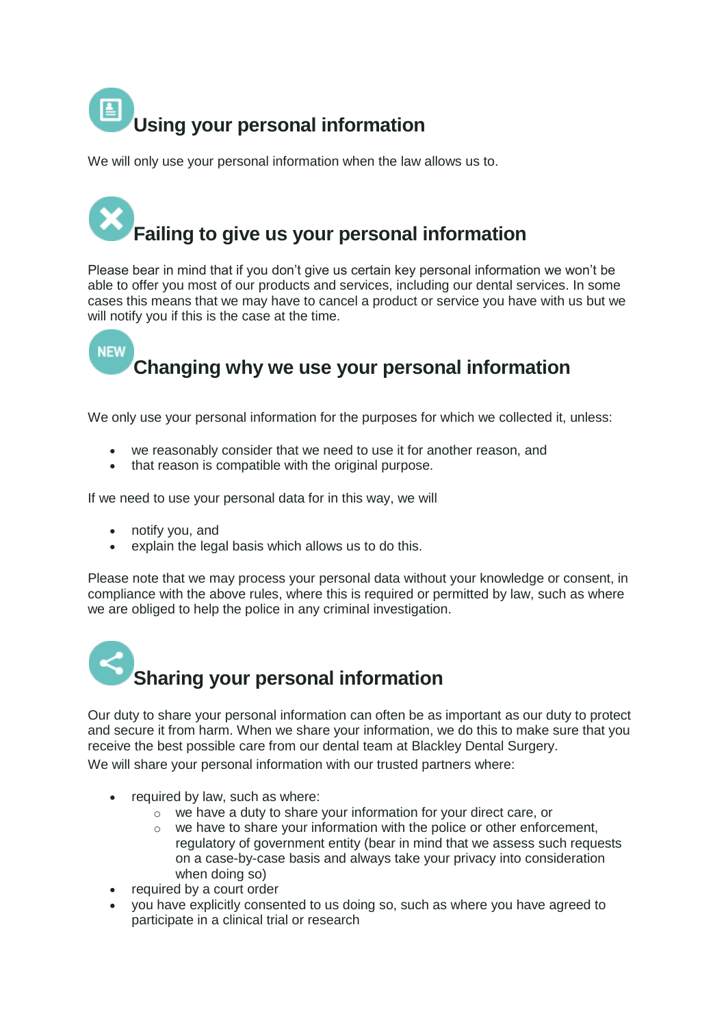

We will only use your personal information when the law allows us to.

# **Failing to give us your personal information**

Please bear in mind that if you don't give us certain key personal information we won't be able to offer you most of our products and services, including our dental services. In some cases this means that we may have to cancel a product or service you have with us but we will notify you if this is the case at the time.

### **NEW Changing why we use your personal information**

We only use your personal information for the purposes for which we collected it, unless:

- we reasonably consider that we need to use it for another reason, and
- that reason is compatible with the original purpose.

If we need to use your personal data for in this way, we will:

- notify you, and
- explain the legal basis which allows us to do this.

Please note that we may process your personal data without your knowledge or consent, in compliance with the above rules, where this is required or permitted by law, such as where we are obliged to help the police in any criminal investigation.



Our duty to share your personal information can often be as important as our duty to protect and secure it from harm. When we share your information, we do this to make sure that you receive the best possible care from our dental team at Blackley Dental Surgery. We will share your personal information with our trusted partners where:

- required by law, such as where:
	- o we have a duty to share your information for your direct care, or
	- $\circ$  we have to share your information with the police or other enforcement, regulatory of government entity (bear in mind that we assess such requests on a case-by-case basis and always take your privacy into consideration when doing so)
- required by a court order
- you have explicitly consented to us doing so, such as where you have agreed to participate in a clinical trial or research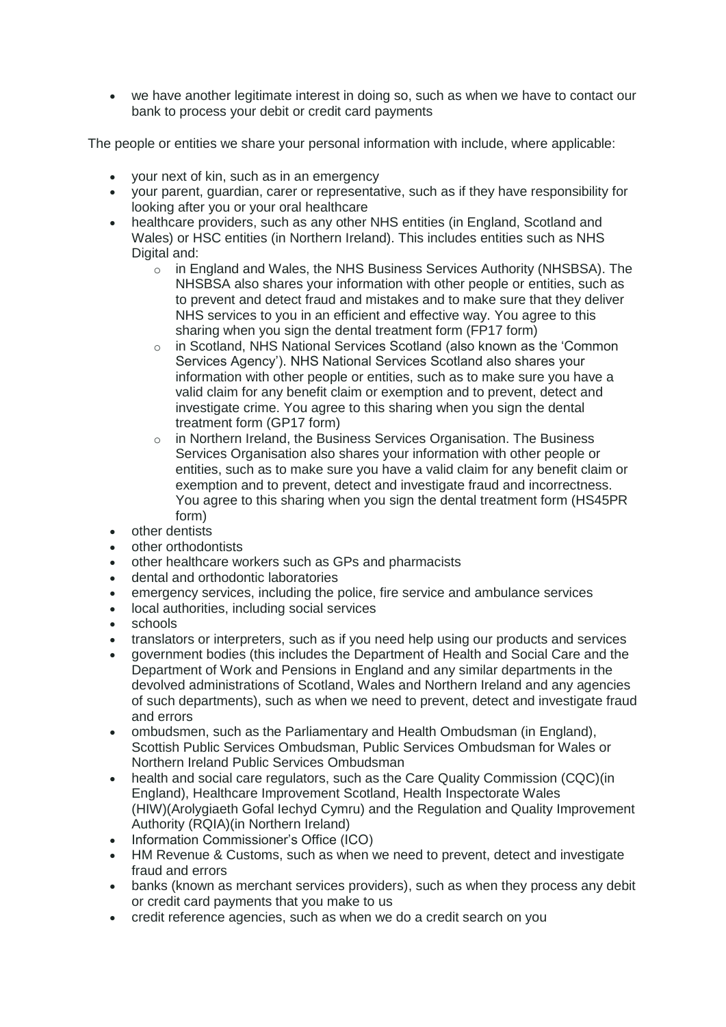• we have another legitimate interest in doing so, such as when we have to contact our bank to process your debit or credit card payments

The people or entities we share your personal information with include, where applicable:

- your next of kin, such as in an emergency
- your parent, guardian, carer or representative, such as if they have responsibility for looking after you or your oral healthcare
- healthcare providers, such as any other NHS entities (in England, Scotland and Wales) or HSC entities (in Northern Ireland). This includes entities such as NHS Digital and:
	- o in England and Wales, the NHS Business Services Authority (NHSBSA). The NHSBSA also shares your information with other people or entities, such as to prevent and detect fraud and mistakes and to make sure that they deliver NHS services to you in an efficient and effective way. You agree to this sharing when you sign the dental treatment form (FP17 form)
	- o in Scotland, NHS National Services Scotland (also known as the 'Common Services Agency'). NHS National Services Scotland also shares your information with other people or entities, such as to make sure you have a valid claim for any benefit claim or exemption and to prevent, detect and investigate crime. You agree to this sharing when you sign the dental treatment form (GP17 form)
	- $\circ$  in Northern Ireland, the Business Services Organisation. The Business Services Organisation also shares your information with other people or entities, such as to make sure you have a valid claim for any benefit claim or exemption and to prevent, detect and investigate fraud and incorrectness. You agree to this sharing when you sign the dental treatment form (HS45PR form)
- other dentists
- other orthodontists
- other healthcare workers such as GPs and pharmacists
- dental and orthodontic laboratories
- emergency services, including the police, fire service and ambulance services
- local authorities, including social services
- schools
- translators or interpreters, such as if you need help using our products and services
- government bodies (this includes the Department of Health and Social Care and the Department of Work and Pensions in England and any similar departments in the devolved administrations of Scotland, Wales and Northern Ireland and any agencies of such departments), such as when we need to prevent, detect and investigate fraud and errors
- ombudsmen, such as the Parliamentary and Health Ombudsman (in England), Scottish Public Services Ombudsman, Public Services Ombudsman for Wales or Northern Ireland Public Services Ombudsman
- health and social care regulators, such as the Care Quality Commission (CQC)(in England), Healthcare Improvement Scotland, Health Inspectorate Wales (HIW)(Arolygiaeth Gofal Iechyd Cymru) and the Regulation and Quality Improvement Authority (RQIA)(in Northern Ireland)
- Information Commissioner's Office (ICO)
- HM Revenue & Customs, such as when we need to prevent, detect and investigate fraud and errors
- banks (known as merchant services providers), such as when they process any debit or credit card payments that you make to us
- credit reference agencies, such as when we do a credit search on you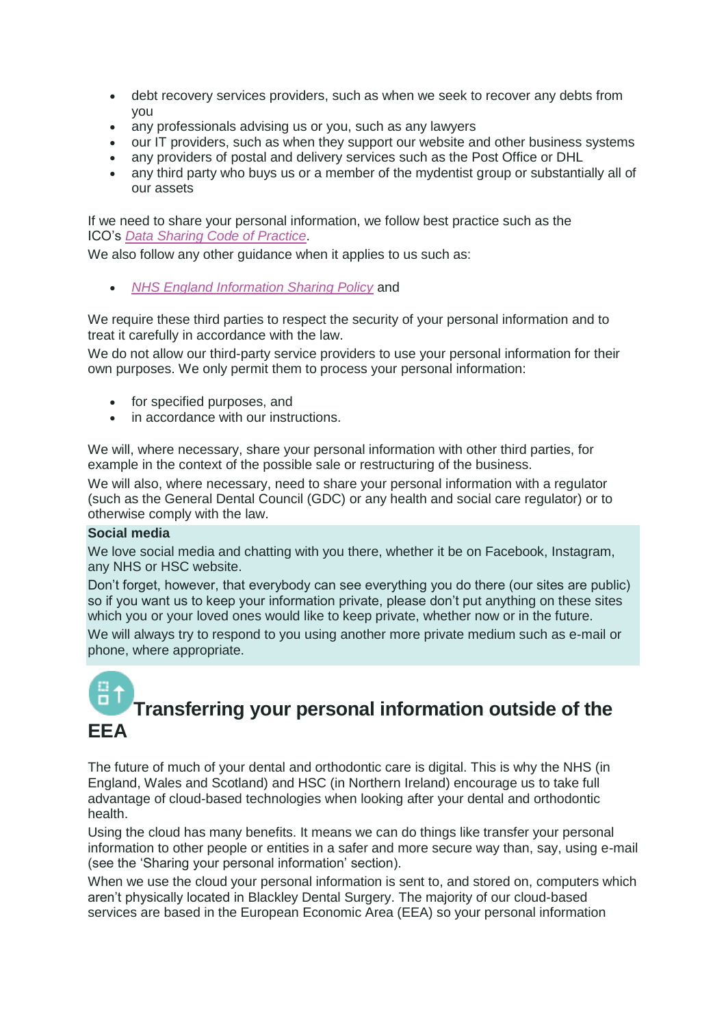- debt recovery services providers, such as when we seek to recover any debts from you
- any professionals advising us or you, such as any lawyers
- our IT providers, such as when they support our website and other business systems
- any providers of postal and delivery services such as the Post Office or DHL
- any third party who buys us or a member of the mydentist group or substantially all of our assets

If we need to share your personal information, we follow best practice such as the ICO's *[Data Sharing Code of Practice](https://ico.org.uk/media/for-organisations/documents/1068/data_sharing_code_of_practice.pdf)*.

We also follow any other guidance when it applies to us such as:

• *[NHS England Information Sharing Policy](https://www.england.nhs.uk/wp-content/uploads/2016/12/information-sharing-policy-v2-1.pdf)* and

We require these third parties to respect the security of your personal information and to treat it carefully in accordance with the law.

We do not allow our third-party service providers to use your personal information for their own purposes. We only permit them to process your personal information:

- for specified purposes, and
- in accordance with our instructions.

We will, where necessary, share your personal information with other third parties, for example in the context of the possible sale or restructuring of the business.

We will also, where necessary, need to share your personal information with a regulator (such as the General Dental Council (GDC) or any health and social care regulator) or to otherwise comply with the law.

### **Social media**

We love social media and chatting with you there, whether it be on Facebook, Instagram, any NHS or HSC website.

Don't forget, however, that everybody can see everything you do there (our sites are public) so if you want us to keep your information private, please don't put anything on these sites which you or your loved ones would like to keep private, whether now or in the future.

We will always try to respond to you using another more private medium such as e-mail or phone, where appropriate.

### **Transferring your personal information outside of the EEA**

The future of much of your dental and orthodontic care is digital. This is why the NHS (in England, Wales and Scotland) and HSC (in Northern Ireland) encourage us to take full advantage of cloud-based technologies when looking after your dental and orthodontic health.

Using the cloud has many benefits. It means we can do things like transfer your personal information to other people or entities in a safer and more secure way than, say, using e-mail (see the 'Sharing your personal information' section).

When we use the cloud your personal information is sent to, and stored on, computers which aren't physically located in Blackley Dental Surgery. The majority of our cloud-based services are based in the European Economic Area (EEA) so your personal information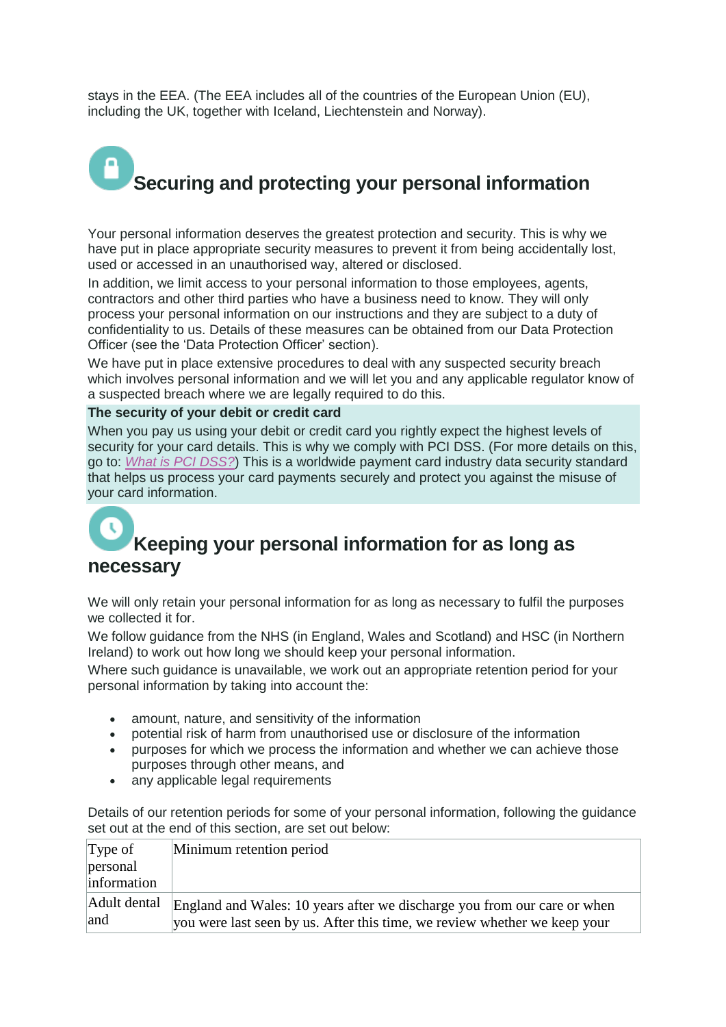stays in the EEA. (The EEA includes all of the countries of the European Union (EU), including the UK, together with Iceland, Liechtenstein and Norway).

# **Securing and protecting your personal information**

Your personal information deserves the greatest protection and security. This is why we have put in place appropriate security measures to prevent it from being accidentally lost, used or accessed in an unauthorised way, altered or disclosed.

In addition, we limit access to your personal information to those employees, agents, contractors and other third parties who have a business need to know. They will only process your personal information on our instructions and they are subject to a duty of confidentiality to us. Details of these measures can be obtained from our Data Protection Officer (see the 'Data Protection Officer' section).

We have put in place extensive procedures to deal with any suspected security breach which involves personal information and we will let you and any applicable regulator know of a suspected breach where we are legally required to do this.

### **The security of your debit or credit card**

When you pay us using your debit or credit card you rightly expect the highest levels of security for your card details. This is why we comply with PCI DSS. (For more details on this, go to: *[What is PCI DSS?](http://www.theukcardsassociation.org.uk/security/What_is_PCI%20DSS.asp)*) This is a worldwide payment card industry data security standard that helps us process your card payments securely and protect you against the misuse of your card information.

### **Keeping your personal information for as long as necessary**

We will only retain your personal information for as long as necessary to fulfil the purposes we collected it for.

We follow guidance from the NHS (in England, Wales and Scotland) and HSC (in Northern Ireland) to work out how long we should keep your personal information.

Where such guidance is unavailable, we work out an appropriate retention period for your personal information by taking into account the:

- 
- amount, nature, and sensitivity of the information<br>• notential risk of harm from unauthorised use or dist • potential risk of harm from unauthorised use or disclosure of the information
- purposes for which we process the information and whether we can achieve those purposes through other means, and
- any applicable legal requirements

Details of our retention periods for some of your personal information, following the guidance set out at the end of this section, are set out below:

| Type of             | Minimum retention period                                                                                                                              |
|---------------------|-------------------------------------------------------------------------------------------------------------------------------------------------------|
| personal            |                                                                                                                                                       |
| information         |                                                                                                                                                       |
| Adult dental<br>and | England and Wales: 10 years after we discharge you from our care or when<br>you were last seen by us. After this time, we review whether we keep your |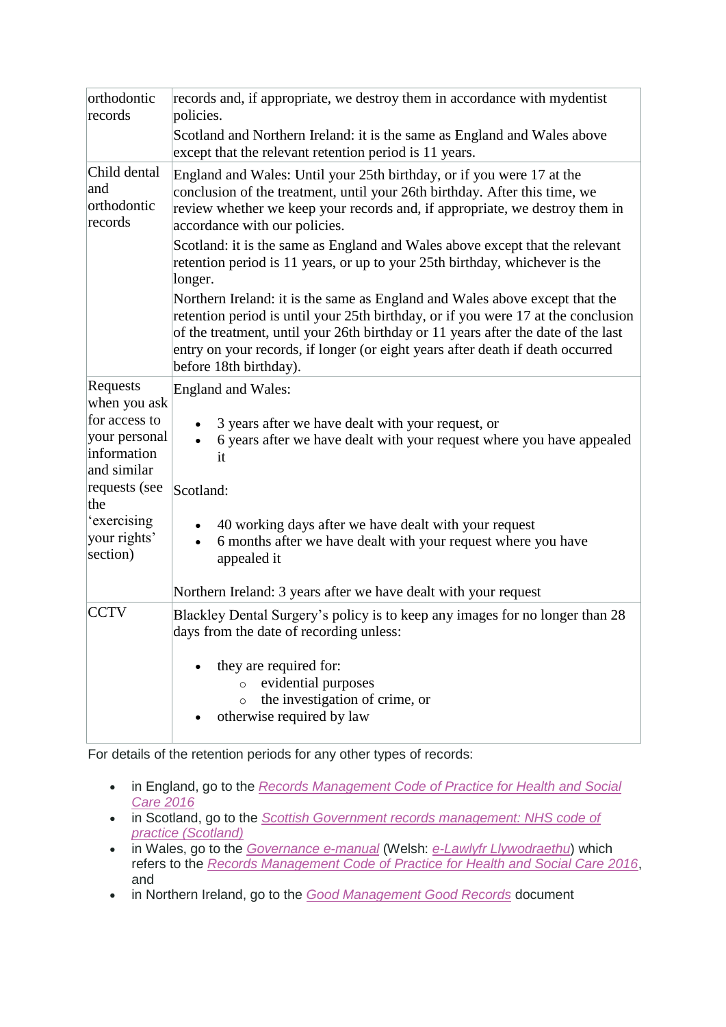| orthodontic<br>records                                       | records and, if appropriate, we destroy them in accordance with mydentist<br>policies.                                                                                                                                                                                                                                                                                                                                                        |
|--------------------------------------------------------------|-----------------------------------------------------------------------------------------------------------------------------------------------------------------------------------------------------------------------------------------------------------------------------------------------------------------------------------------------------------------------------------------------------------------------------------------------|
|                                                              | Scotland and Northern Ireland: it is the same as England and Wales above<br>except that the relevant retention period is 11 years.                                                                                                                                                                                                                                                                                                            |
| Child dental<br>and<br>orthodontic<br>records                | England and Wales: Until your 25th birthday, or if you were 17 at the<br>conclusion of the treatment, until your 26th birthday. After this time, we<br>review whether we keep your records and, if appropriate, we destroy them in<br>accordance with our policies.<br>Scotland: it is the same as England and Wales above except that the relevant<br>retention period is 11 years, or up to your 25th birthday, whichever is the<br>longer. |
|                                                              | Northern Ireland: it is the same as England and Wales above except that the<br>retention period is until your 25th birthday, or if you were 17 at the conclusion<br>of the treatment, until your 26th birthday or 11 years after the date of the last<br>entry on your records, if longer (or eight years after death if death occurred<br>before 18th birthday).                                                                             |
| Requests<br>when you ask                                     | <b>England and Wales:</b>                                                                                                                                                                                                                                                                                                                                                                                                                     |
| for access to<br>your personal<br>information<br>and similar | 3 years after we have dealt with your request, or<br>6 years after we have dealt with your request where you have appealed<br>it                                                                                                                                                                                                                                                                                                              |
| requests (see<br>the                                         | Scotland:                                                                                                                                                                                                                                                                                                                                                                                                                                     |
| 'exercising<br>your rights'<br>section)                      | 40 working days after we have dealt with your request<br>6 months after we have dealt with your request where you have<br>$\bullet$<br>appealed it                                                                                                                                                                                                                                                                                            |
|                                                              | Northern Ireland: 3 years after we have dealt with your request                                                                                                                                                                                                                                                                                                                                                                               |
| <b>CCTV</b>                                                  | Blackley Dental Surgery's policy is to keep any images for no longer than 28<br>days from the date of recording unless:                                                                                                                                                                                                                                                                                                                       |
|                                                              | they are required for:<br>evidential purposes<br>$\circ$<br>the investigation of crime, or<br>$\circ$<br>otherwise required by law                                                                                                                                                                                                                                                                                                            |

For details of the retention periods for any other types of records:

- in England, go to the *[Records Management Code of Practice for Health and Social](https://digital.nhs.uk/records-management-code-of-practice-for-health-and-social-care-2016)  [Care 2016](https://digital.nhs.uk/records-management-code-of-practice-for-health-and-social-care-2016)*
- in Scotland, go to the *[Scottish Government records management: NHS code of](http://www.gov.scot/Publications/2012/01/10143104/0)  [practice \(Scotland\)](http://www.gov.scot/Publications/2012/01/10143104/0)*
- in Wales, go to the *[Governance](http://www.wales.nhs.uk/governance-emanual/home) e-manual* (Welsh: *[e-Lawlyfr Llywodraethu](http://www.wales.nhs.uk/governance-emanual/hafan)*) which refers to the *[Records Management Code of Practice for Health and Social Care 2016](https://digital.nhs.uk/records-management-code-of-practice-for-health-and-social-care-2016)*, and
- in Northern Ireland, go to the *[Good Management Good Records](https://www.health-ni.gov.uk/topics/good-management-good-records)* document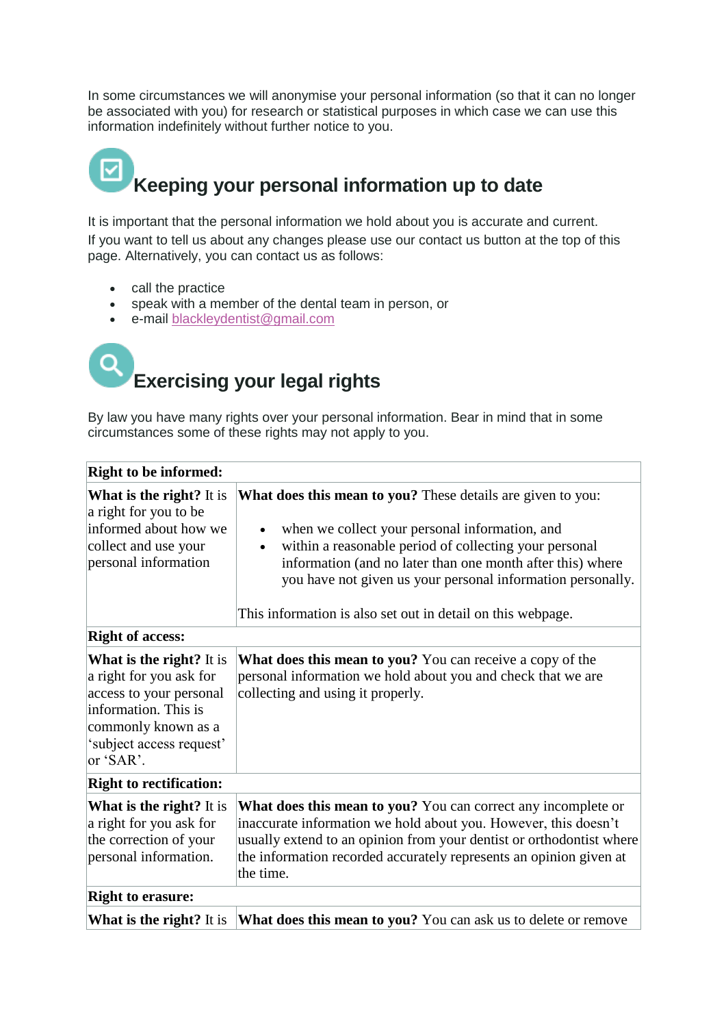In some circumstances we will anonymise your personal information (so that it can no longer be associated with you) for research or statistical purposes in which case we can use this information indefinitely without further notice to you.

## **Keeping your personal information up to date**

It is important that the personal information we hold about you is accurate and current. If you want to tell us about any changes please use our contact us button at the top of this page. Alternatively, you can contact us as follows:

- call the practice
- speak with a member of the dental team in person, or
- e-mail blackleydentist@gmail.com

## **Exercising your legal rights**

By law you have many rights over your personal information. Bear in mind that in some circumstances some of these rights may not apply to you.

| <b>Right to be informed:</b>                                                                                                                                                  |                                                                                                                                                                                                                                                                                                                                                                            |  |
|-------------------------------------------------------------------------------------------------------------------------------------------------------------------------------|----------------------------------------------------------------------------------------------------------------------------------------------------------------------------------------------------------------------------------------------------------------------------------------------------------------------------------------------------------------------------|--|
| <b>What is the right?</b> It is<br>a right for you to be<br>informed about how we<br>collect and use your<br>personal information                                             | <b>What does this mean to you?</b> These details are given to you:<br>when we collect your personal information, and<br>within a reasonable period of collecting your personal<br>information (and no later than one month after this) where<br>you have not given us your personal information personally.<br>This information is also set out in detail on this webpage. |  |
| <b>Right of access:</b>                                                                                                                                                       |                                                                                                                                                                                                                                                                                                                                                                            |  |
| <b>What is the right?</b> It is<br>a right for you ask for<br>access to your personal<br>information. This is<br>commonly known as a<br>'subject access request'<br>or 'SAR'. | <b>What does this mean to you?</b> You can receive a copy of the<br>personal information we hold about you and check that we are<br>collecting and using it properly.                                                                                                                                                                                                      |  |
| <b>Right to rectification:</b>                                                                                                                                                |                                                                                                                                                                                                                                                                                                                                                                            |  |
| <b>What is the right?</b> It is<br>a right for you ask for<br>the correction of your<br>personal information.                                                                 | What does this mean to you? You can correct any incomplete or<br>inaccurate information we hold about you. However, this doesn't<br>usually extend to an opinion from your dentist or orthodontist where<br>the information recorded accurately represents an opinion given at<br>the time.                                                                                |  |
| <b>Right to erasure:</b>                                                                                                                                                      |                                                                                                                                                                                                                                                                                                                                                                            |  |
| <b>What is the right?</b> It is                                                                                                                                               | What does this mean to you? You can ask us to delete or remove                                                                                                                                                                                                                                                                                                             |  |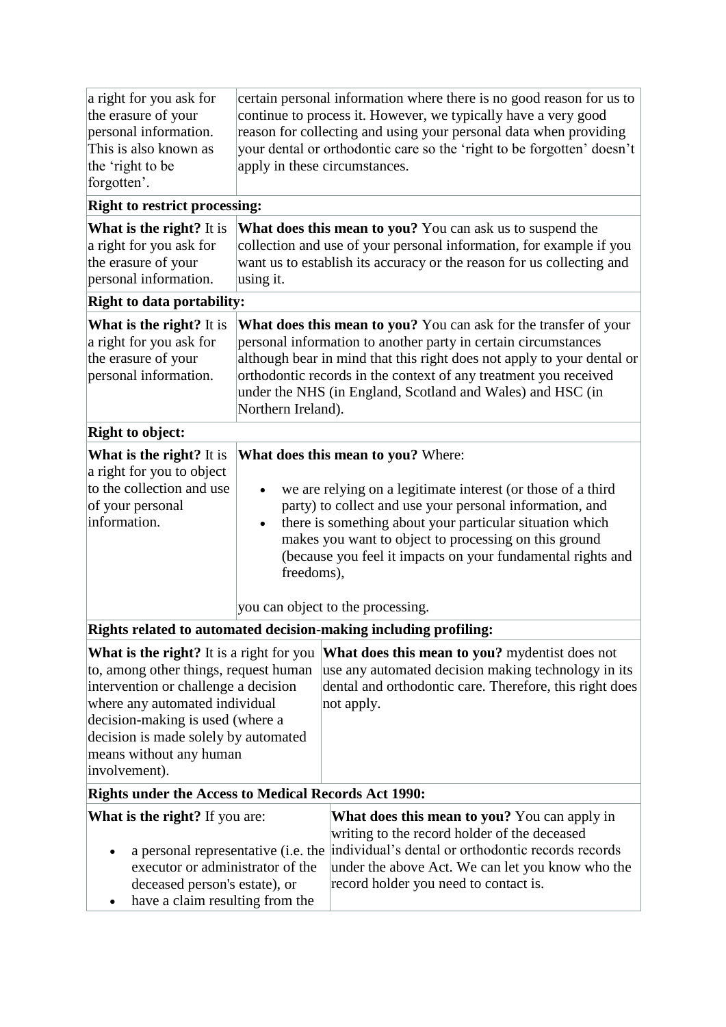| a right for you ask for<br>the erasure of your<br>personal information.<br>This is also known as<br>the 'right to be<br>forgotten'.                                                                                                                                                        | apply in these circumstances.                                                                                                                                                                                                                                                                                                                                                                         | certain personal information where there is no good reason for us to<br>continue to process it. However, we typically have a very good<br>reason for collecting and using your personal data when providing<br>your dental or orthodontic care so the 'right to be forgotten' doesn't |  |  |
|--------------------------------------------------------------------------------------------------------------------------------------------------------------------------------------------------------------------------------------------------------------------------------------------|-------------------------------------------------------------------------------------------------------------------------------------------------------------------------------------------------------------------------------------------------------------------------------------------------------------------------------------------------------------------------------------------------------|---------------------------------------------------------------------------------------------------------------------------------------------------------------------------------------------------------------------------------------------------------------------------------------|--|--|
| <b>Right to restrict processing:</b>                                                                                                                                                                                                                                                       |                                                                                                                                                                                                                                                                                                                                                                                                       |                                                                                                                                                                                                                                                                                       |  |  |
| <b>What is the right?</b> It is<br>a right for you ask for<br>the erasure of your<br>personal information.                                                                                                                                                                                 | What does this mean to you? You can ask us to suspend the<br>collection and use of your personal information, for example if you<br>want us to establish its accuracy or the reason for us collecting and<br>using it.                                                                                                                                                                                |                                                                                                                                                                                                                                                                                       |  |  |
| <b>Right to data portability:</b>                                                                                                                                                                                                                                                          |                                                                                                                                                                                                                                                                                                                                                                                                       |                                                                                                                                                                                                                                                                                       |  |  |
| <b>What is the right?</b> It is<br>a right for you ask for<br>the erasure of your<br>personal information.                                                                                                                                                                                 | What does this mean to you? You can ask for the transfer of your<br>personal information to another party in certain circumstances<br>although bear in mind that this right does not apply to your dental or<br>orthodontic records in the context of any treatment you received<br>under the NHS (in England, Scotland and Wales) and HSC (in<br>Northern Ireland).                                  |                                                                                                                                                                                                                                                                                       |  |  |
| <b>Right to object:</b>                                                                                                                                                                                                                                                                    |                                                                                                                                                                                                                                                                                                                                                                                                       |                                                                                                                                                                                                                                                                                       |  |  |
| What is the right? It is<br>a right for you to object<br>to the collection and use<br>of your personal<br>information.                                                                                                                                                                     | What does this mean to you? Where:<br>we are relying on a legitimate interest (or those of a third<br>party) to collect and use your personal information, and<br>there is something about your particular situation which<br>makes you want to object to processing on this ground<br>(because you feel it impacts on your fundamental rights and<br>freedoms),<br>you can object to the processing. |                                                                                                                                                                                                                                                                                       |  |  |
| Rights related to automated decision-making including profiling:                                                                                                                                                                                                                           |                                                                                                                                                                                                                                                                                                                                                                                                       |                                                                                                                                                                                                                                                                                       |  |  |
| <b>What is the right?</b> It is a right for you<br>to, among other things, request human<br>intervention or challenge a decision<br>where any automated individual<br>decision-making is used (where a<br>decision is made solely by automated<br>means without any human<br>involvement). |                                                                                                                                                                                                                                                                                                                                                                                                       | What does this mean to you? mydentist does not<br>use any automated decision making technology in its<br>dental and orthodontic care. Therefore, this right does<br>not apply.                                                                                                        |  |  |
| <b>Rights under the Access to Medical Records Act 1990:</b>                                                                                                                                                                                                                                |                                                                                                                                                                                                                                                                                                                                                                                                       |                                                                                                                                                                                                                                                                                       |  |  |
| <b>What is the right?</b> If you are:<br>a personal representative ( <i>i.e.</i> the<br>executor or administrator of the<br>deceased person's estate), or<br>have a claim resulting from the                                                                                               |                                                                                                                                                                                                                                                                                                                                                                                                       | What does this mean to you? You can apply in<br>writing to the record holder of the deceased<br>individual's dental or orthodontic records records<br>under the above Act. We can let you know who the<br>record holder you need to contact is.                                       |  |  |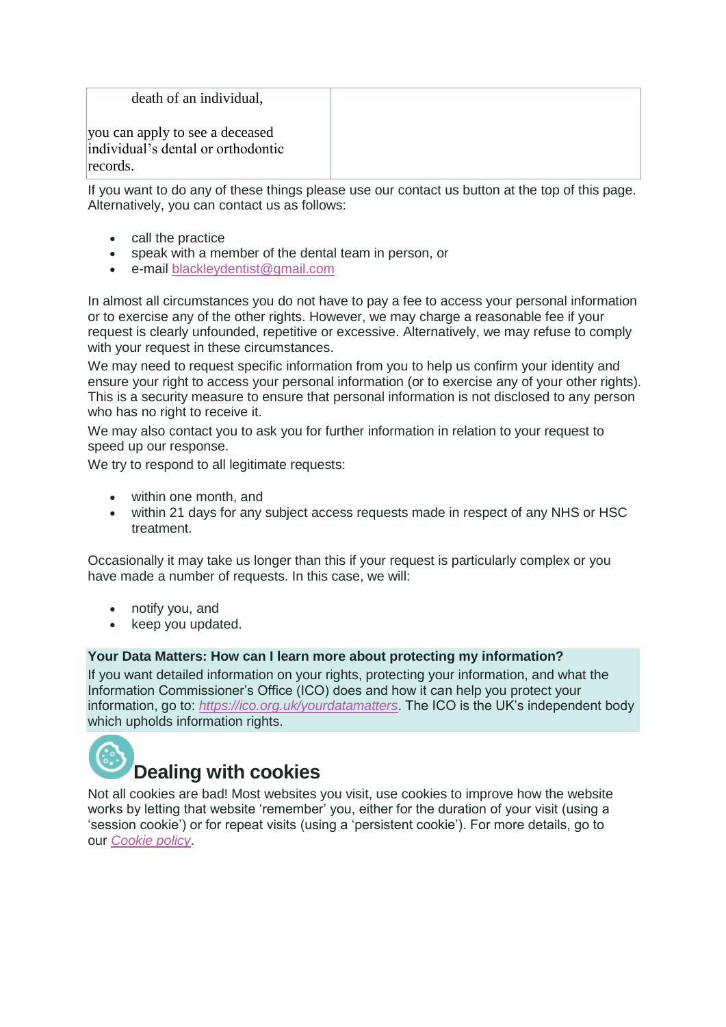| death of an individual,                                               |  |
|-----------------------------------------------------------------------|--|
| you can apply to see a deceased<br>individual's dental or orthodontic |  |
| records.                                                              |  |

If you want to do any of these things please use our contact us button at the top of this page. Alternatively, you can contact us as follows:

- call the practice
- speak with a member of the dental team in person, or
- e-mail blackleydentist@gmail.com

In almost all circumstances you do not have to pay a fee to access your personal information or to exercise any of the other rights. However, we may charge a reasonable fee if your request is clearly unfounded, repetitive or excessive. Alternatively, we may refuse to comply with your request in these circumstances.

We may need to request specific information from you to help us confirm your identity and ensure your right to access your personal information (or to exercise any of your other rights). This is a security measure to ensure that personal information is not disclosed to any person who has no right to receive it.

We may also contact you to ask you for further information in relation to your request to speed up our response.

We try to respond to all legitimate requests:

- within one month, and
- within 21 days for any subject access requests made in respect of any NHS or HSC treatment.

Occasionally it may take us longer than this if your request is particularly complex or you have made a number of requests. In this case, we will:

- notify you, and
- keep you updated.

### **Your Data Matters: How can I learn more about protecting my information?**

If you want detailed information on your rights, protecting your information, and what the Information Commissioner's Office (ICO) does and how it can help you protect your information, go to: *[https://ico.org.uk/yourdatamatters](https://ico.org.uk/)*. The ICO is the UK's independent body which upholds information rights.



Not all cookies are bad! Most websites you visit, use cookies to improve how the website works by letting that website 'remember' you, either for the duration of your visit (using a 'session cookie') or for repeat visits (using a 'persistent cookie'). For more details, go to our *[Cookie policy](https://www.mydentist.co.uk/customer-services/cookie-policy)*.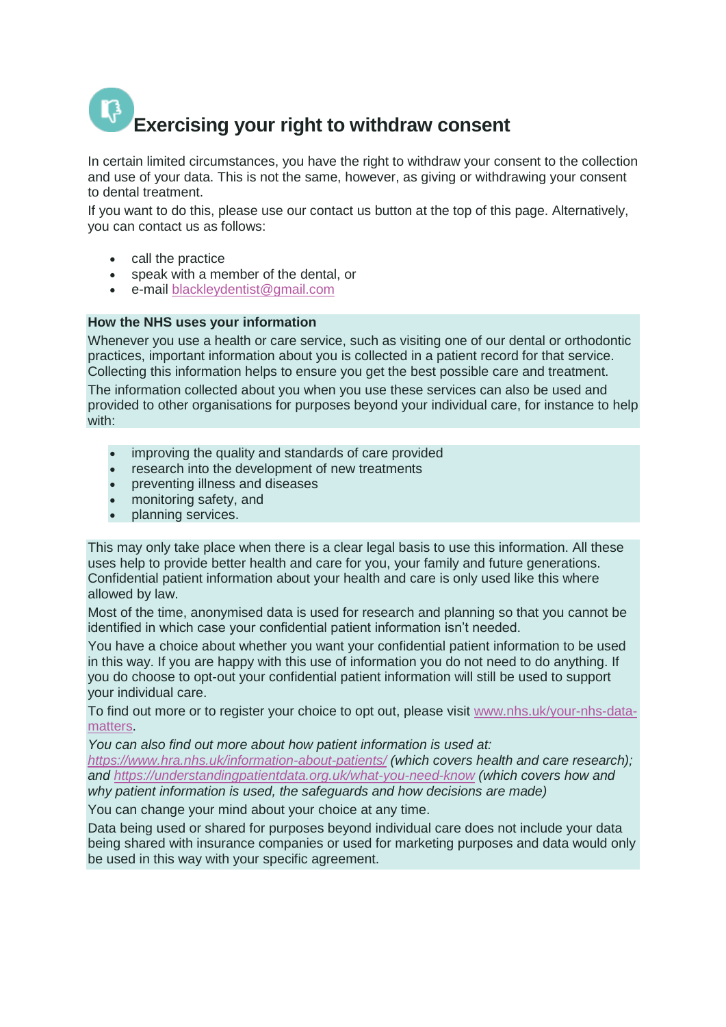# **Exercising your right to withdraw consent**

In certain limited circumstances, you have the right to withdraw your consent to the collection and use of your data. This is not the same, however, as giving or withdrawing your consent to dental treatment.

If you want to do this, please use our contact us button at the top of this page. Alternatively, you can contact us as follows:

- call the practice
- speak with a member of the dental, or
- e-mail blackleydentist@gmail.com

### **How the NHS uses your information**

Whenever you use a health or care service, such as visiting one of our dental or orthodontic practices, important information about you is collected in a patient record for that service. Collecting this information helps to ensure you get the best possible care and treatment. The information collected about you when you use these services can also be used and provided to other organisations for purposes beyond your individual care, for instance to help with:

- improving the quality and standards of care provided
- research into the development of new treatments
- preventing illness and diseases
- monitoring safety, and
- planning services.

This may only take place when there is a clear legal basis to use this information. All these uses help to provide better health and care for you, your family and future generations. Confidential patient information about your health and care is only used like this where allowed by law.

Most of the time, anonymised data is used for research and planning so that you cannot be identified in which case your confidential patient information isn't needed.

You have a choice about whether you want your confidential patient information to be used in this way. If you are happy with this use of information you do not need to do anything. If you do choose to opt-out your confidential patient information will still be used to support your individual care.

To find out more or to register your choice to opt out, please visit [www.nhs.uk/your-nhs-data](http://www.nhs.uk/your-nhs-data-matters)[matters.](http://www.nhs.uk/your-nhs-data-matters)

*You can also find out more about how patient information is used at: <https://www.hra.nhs.uk/information-about-patients/> (which covers health and care research);* 

*and <https://understandingpatientdata.org.uk/what-you-need-know> (which covers how and why patient information is used, the safeguards and how decisions are made)*

You can change your mind about your choice at any time.

Data being used or shared for purposes beyond individual care does not include your data being shared with insurance companies or used for marketing purposes and data would only be used in this way with your specific agreement.